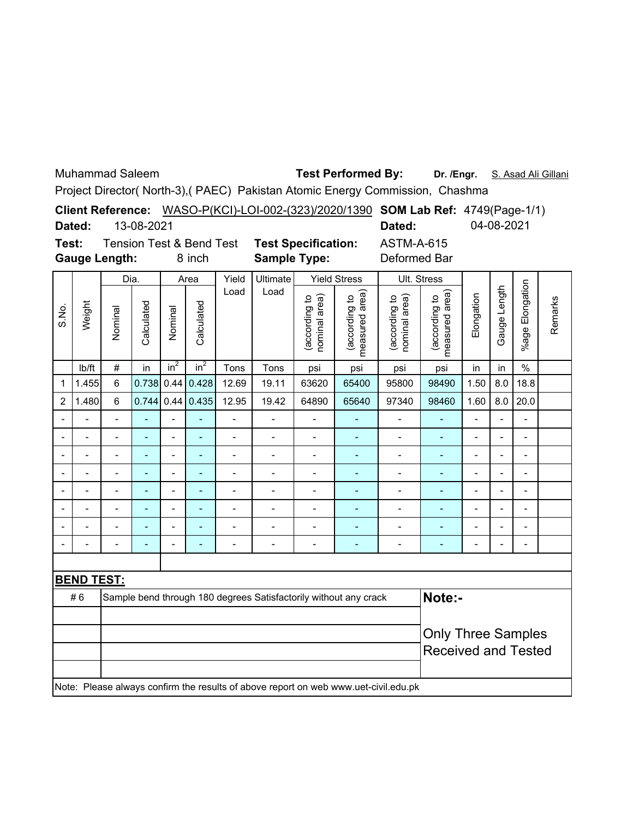Muhammad Saleem

## **Dr. /Engr.** S. Asad Ali Gillani **Test Performed By:**

Project Director( North-3),( PAEC) Pakistan Atomic Energy Commission, Chashma

|       |        |                      |                                     |                                                             |                                       | Client Reference: WASO-P(KCI)-LOI-002-(323)/2020/1390 SOM Lab Ref: 4749(Page-1/1) |            |  |  |
|-------|--------|----------------------|-------------------------------------|-------------------------------------------------------------|---------------------------------------|-----------------------------------------------------------------------------------|------------|--|--|
|       | Dated: | 13-08-2021           |                                     |                                                             |                                       | Dated:                                                                            | 04-08-2021 |  |  |
| Test: |        |                      | <b>Tension Test &amp; Bend Test</b> |                                                             | <b>Test Specification:</b>            | <b>ASTM-A-615</b>                                                                 |            |  |  |
|       |        | <b>Gauge Length:</b> | 8 inch                              | <b>Sample Type:</b>                                         |                                       | Deformed Bar                                                                      |            |  |  |
|       |        | $\sum_{i=1}^{n}$     | $\Delta$ $\sim$ $\sim$              | $\overline{V}_{\text{total}}$ $\overline{V}_{\text{total}}$ | $V_{\text{in}}$ Id $C_{\text{trans}}$ | $1111 \cdot C_{1}$                                                                |            |  |  |

|                |                          | Dia.           |                              |                 | Area                         | Yield          | Ultimate       |                                | <b>Yield Stress</b>                                                                 |                                | Ult. Stress                     |                          |                          |                          |         |
|----------------|--------------------------|----------------|------------------------------|-----------------|------------------------------|----------------|----------------|--------------------------------|-------------------------------------------------------------------------------------|--------------------------------|---------------------------------|--------------------------|--------------------------|--------------------------|---------|
| S.No.          | Weight                   | Nominal        | Calculated                   | Nominal         | Calculated                   | Load           | Load           | (according to<br>nominal area) | measured area)<br>(according to                                                     | (according to<br>nominal area) | measured area)<br>(according to | Elongation               | Gauge Length             | %age Elongation          | Remarks |
|                | lb/ft                    | $\#$           | in                           | in <sup>2</sup> | $in^2$                       | Tons           | Tons           | psi                            | psi                                                                                 | psi                            | psi                             | in                       | in                       | $\%$                     |         |
| 1              | 1.455                    | $6\phantom{a}$ | 0.738                        | 0.44            | 0.428                        | 12.69          | 19.11          | 63620                          | 65400                                                                               | 95800                          | 98490                           | 1.50                     | 8.0                      | 18.8                     |         |
| $\overline{c}$ | 1.480                    | 6              | 0.744                        | 0.44            | 0.435                        | 12.95          | 19.42          | 64890                          | 65640                                                                               | 97340                          | 98460                           | 1.60                     | 8.0                      | 20.0                     |         |
| -              |                          | Ĭ.             | ä,                           | $\overline{a}$  | L,                           | $\overline{a}$ | $\overline{a}$ | $\overline{a}$                 | $\blacksquare$                                                                      | $\overline{a}$                 | ÷,                              | $\overline{\phantom{0}}$ | $\overline{\phantom{a}}$ | $\blacksquare$           |         |
|                |                          | $\blacksquare$ | $\blacksquare$               | $\overline{a}$  | $\qquad \qquad \blacksquare$ | $\overline{a}$ | $\blacksquare$ | $\overline{a}$                 | ٠                                                                                   | $\overline{\phantom{0}}$       | $\qquad \qquad \blacksquare$    | $\overline{\phantom{0}}$ | $\overline{\phantom{0}}$ | $\overline{\phantom{a}}$ |         |
|                | $\overline{\phantom{0}}$ | $\blacksquare$ | $\qquad \qquad \blacksquare$ | $\overline{a}$  | ٠                            | $\overline{a}$ | $\blacksquare$ | $\overline{a}$                 | ٠                                                                                   | $\overline{\phantom{0}}$       | $\qquad \qquad \blacksquare$    | $\overline{\phantom{0}}$ | $\overline{\phantom{0}}$ | $\overline{\phantom{m}}$ |         |
|                |                          | $\blacksquare$ | $\qquad \qquad \blacksquare$ | $\overline{a}$  | ۰                            | -              | $\blacksquare$ | ÷                              | ÷                                                                                   | $\blacksquare$                 | ÷                               | -                        | $\overline{\phantom{m}}$ | $\overline{\phantom{m}}$ |         |
|                |                          | L,             | ÷                            | $\overline{a}$  | -                            | $\overline{a}$ | $\overline{a}$ | $\blacksquare$                 |                                                                                     | $\overline{a}$                 | ÷                               | -                        | L,                       | -                        |         |
|                |                          |                | ۰                            |                 |                              |                |                |                                |                                                                                     |                                |                                 |                          | ۰                        |                          |         |
|                |                          |                |                              |                 |                              |                |                |                                |                                                                                     |                                |                                 |                          |                          |                          |         |
| ۰              |                          | ۰              | $\blacksquare$               | $\blacksquare$  |                              | $\blacksquare$ | ۰              | -                              | ٠                                                                                   |                                | ۰                               | -                        | $\overline{a}$           | $\blacksquare$           |         |
|                |                          |                |                              |                 |                              |                |                |                                |                                                                                     |                                |                                 |                          |                          |                          |         |
|                | <b>BEND TEST:</b>        |                |                              |                 |                              |                |                |                                |                                                                                     |                                |                                 |                          |                          |                          |         |
|                | #6                       |                |                              |                 |                              |                |                |                                | Sample bend through 180 degrees Satisfactorily without any crack                    |                                | Note:-                          |                          |                          |                          |         |
|                |                          |                |                              |                 |                              |                |                |                                |                                                                                     |                                |                                 |                          |                          |                          |         |
|                |                          |                |                              |                 |                              |                |                |                                |                                                                                     |                                | <b>Only Three Samples</b>       |                          |                          |                          |         |
|                |                          |                |                              |                 |                              |                |                |                                |                                                                                     |                                | <b>Received and Tested</b>      |                          |                          |                          |         |
|                |                          |                |                              |                 |                              |                |                |                                |                                                                                     |                                |                                 |                          |                          |                          |         |
|                |                          |                |                              |                 |                              |                |                |                                | Note: Please always confirm the results of above report on web www.uet-civil.edu.pk |                                |                                 |                          |                          |                          |         |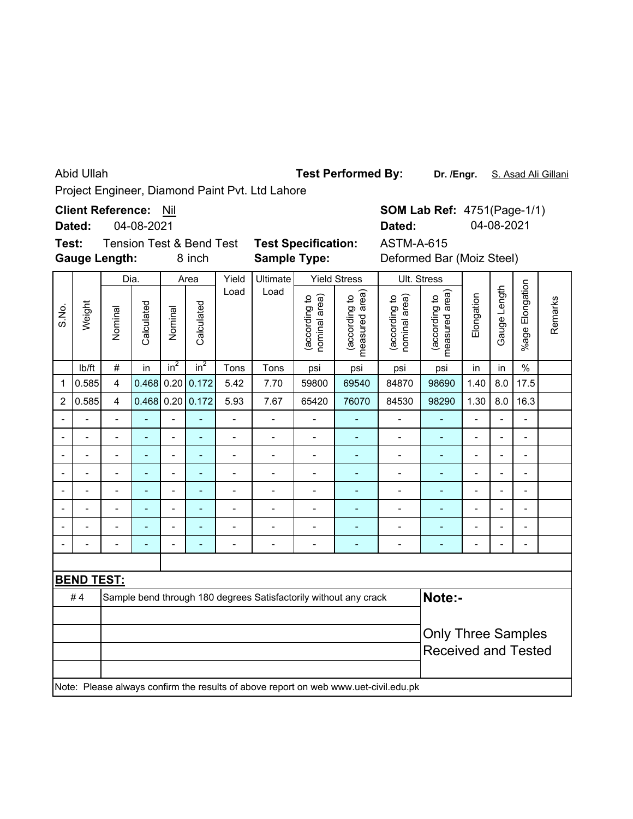Abid Ullah

**Test Performed By:**

Dr. /Engr. S. Asad Ali Gillani

Project Engineer, Diamond Paint Pvt. Ltd Lahore

**Client Reference:** Nil

04-08-2021 **Dated:**

**Test:** Tension Test & Bend Test **Test Specification: Gauge Length:**

**Sample Type:**

8 inch **Sample Type:** Deformed Bar (Moiz Steel) ASTM-A-615

**SOM Lab Ref: 4751(Page-1/1)** 

**Dated:** 04-08-2021

| Dia.<br>Yield<br>Ultimate<br><b>Yield Stress</b><br>Area |                   |                         |                          |                |                  |                          |                |                                | Ult. Stress                                                                         |                                |                                 |                |                |                          |         |
|----------------------------------------------------------|-------------------|-------------------------|--------------------------|----------------|------------------|--------------------------|----------------|--------------------------------|-------------------------------------------------------------------------------------|--------------------------------|---------------------------------|----------------|----------------|--------------------------|---------|
| S.No.                                                    | Weight            | Nominal                 | Calculated               | Nominal        | Calculated       | Load                     | Load           | nominal area)<br>(according to | measured area)<br>(according to                                                     | nominal area)<br>(according to | measured area)<br>(according to | Elongation     | Gauge Length   | %age Elongation          | Remarks |
|                                                          | Ib/ft             | $\#$                    | in                       | $in^2$         | in <sup>2</sup>  | Tons                     | Tons           | psi                            | psi                                                                                 | psi                            | psi                             | in             | in             | $\%$                     |         |
| 1                                                        | 0.585             | $\overline{\mathbf{4}}$ | 0.468                    |                | 0.20   0.172     | 5.42                     | 7.70           | 59800                          | 69540                                                                               | 84870                          | 98690                           | 1.40           | 8.0            | 17.5                     |         |
| $\overline{c}$                                           | 0.585             | $\overline{4}$          |                          |                | 0.468 0.20 0.172 | 5.93                     | 7.67           | 65420                          | 76070                                                                               | 84530                          | 98290                           | 1.30           | 8.0            | 16.3                     |         |
|                                                          |                   | $\overline{a}$          | ۳                        |                |                  | $\overline{a}$           | $\overline{a}$ | Ĭ.                             |                                                                                     |                                |                                 |                | L,             | Ξ.                       |         |
| $\overline{\phantom{a}}$                                 | -                 | $\blacksquare$          | $\blacksquare$           | $\overline{a}$ | ٠                | $\overline{\phantom{0}}$ | $\overline{a}$ | $\overline{a}$                 | $\overline{\phantom{a}}$                                                            | $\overline{a}$                 | ٠                               | -              | $\blacksquare$ | $\blacksquare$           |         |
|                                                          |                   | $\overline{a}$          | $\blacksquare$           | $\blacksquare$ | ۳                | $\overline{a}$           | $\overline{a}$ | $\blacksquare$                 | $\blacksquare$                                                                      | $\overline{a}$                 | L,                              | $\blacksquare$ | $\blacksquare$ | $\blacksquare$           |         |
|                                                          | $\blacksquare$    | $\blacksquare$          | $\blacksquare$           | -              | ۰                | $\overline{\phantom{0}}$ | $\overline{a}$ | $\overline{a}$                 | $\blacksquare$                                                                      | $\overline{\phantom{0}}$       | ÷,                              | -              | $\blacksquare$ | $\blacksquare$           |         |
|                                                          | $\blacksquare$    | $\overline{a}$          | $\blacksquare$           | $\overline{a}$ | ÷                | $\overline{\phantom{m}}$ | $\blacksquare$ | $\overline{a}$                 | ٠                                                                                   | $\overline{\phantom{0}}$       | ÷                               | -              | $\blacksquare$ | $\overline{\phantom{a}}$ |         |
|                                                          |                   | $\overline{a}$          | $\blacksquare$           | $\overline{a}$ | ÷                | -                        | $\blacksquare$ | $\overline{a}$                 | ٠                                                                                   | $\overline{a}$                 | L,                              | -              | $\overline{a}$ | $\overline{\phantom{a}}$ |         |
|                                                          |                   |                         |                          | $\blacksquare$ |                  |                          |                | $\blacksquare$                 |                                                                                     |                                |                                 |                | L,             | $\blacksquare$           |         |
|                                                          |                   |                         | $\overline{\phantom{0}}$ | $\blacksquare$ |                  | $\blacksquare$           | $\blacksquare$ | ÷                              | ٠                                                                                   | $\blacksquare$                 | ۰                               |                | $\overline{a}$ |                          |         |
|                                                          |                   |                         |                          |                |                  |                          |                |                                |                                                                                     |                                |                                 |                |                |                          |         |
|                                                          | <b>BEND TEST:</b> |                         |                          |                |                  |                          |                |                                |                                                                                     |                                |                                 |                |                |                          |         |
|                                                          | #4                |                         |                          |                |                  |                          |                |                                | Sample bend through 180 degrees Satisfactorily without any crack                    |                                | Note:-                          |                |                |                          |         |
|                                                          |                   |                         |                          |                |                  |                          |                |                                |                                                                                     |                                |                                 |                |                |                          |         |
|                                                          |                   |                         |                          |                |                  |                          |                |                                |                                                                                     |                                | <b>Only Three Samples</b>       |                |                |                          |         |
|                                                          |                   |                         |                          |                |                  |                          |                |                                |                                                                                     |                                | <b>Received and Tested</b>      |                |                |                          |         |
|                                                          |                   |                         |                          |                |                  |                          |                |                                |                                                                                     |                                |                                 |                |                |                          |         |
|                                                          |                   |                         |                          |                |                  |                          |                |                                | Note: Please always confirm the results of above report on web www.uet-civil.edu.pk |                                |                                 |                |                |                          |         |
|                                                          |                   |                         |                          |                |                  |                          |                |                                |                                                                                     |                                |                                 |                |                |                          |         |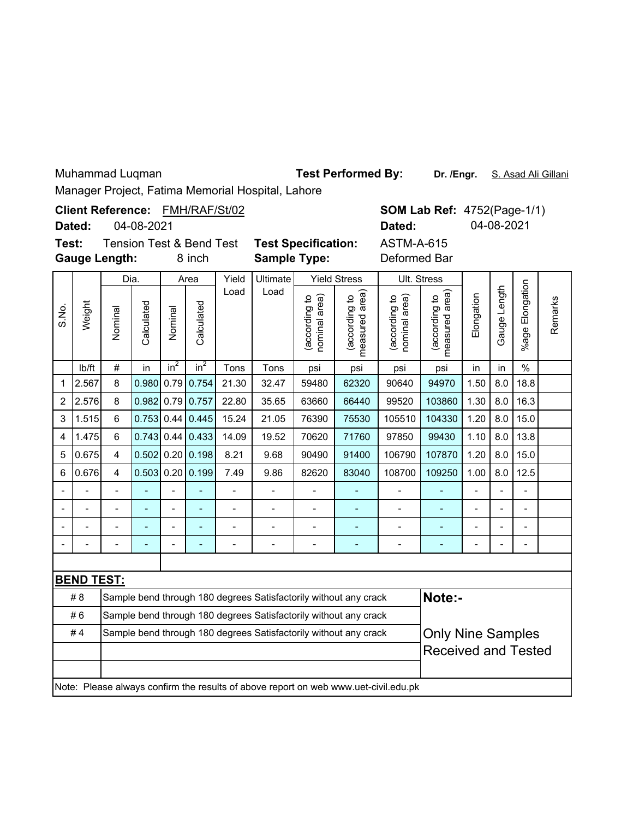Muhammad Luqman **best Performed By: Dr. /Engr.** S. Asad Ali Gillani

Manager Project, Fatima Memorial Hospital, Lahore

|                                                                                                                                                                                                                                                                                                                                                                                                                                                                                                                                                                                                          |  | Manager Project, Fatima Memorial Hospital, Lanore<br><b>SOM Lab Ref: 4752(Page-1/1)</b><br>04-08-2021<br>04-08-2021<br>Dated:<br><b>ASTM-A-615</b><br><b>Test Specification:</b><br><b>Sample Type:</b><br>Deformed Bar<br>8 inch<br>Ultimate<br>Yield<br><b>Yield Stress</b><br>Ult. Stress<br>Dia.<br>Area<br>Elongation<br>Gauge Length<br>Load<br>Load<br>area)<br>measured area)<br>Elongation<br>(according to<br>nominal area)<br>(according to<br>nominal area)<br>(according to<br>(according to<br>Remarks<br>Calculated<br>Calculated<br>Nominal<br>Nominal<br>measured<br>%age I<br>in <sup>2</sup><br>in <sup>2</sup><br>$\frac{0}{0}$<br>$\#$<br>Tons<br>in<br>Tons<br>in<br>psi<br>psi<br>psi<br>psi<br>in<br>0.980<br>0.79<br>0.754<br>1.50<br>8.0<br>18.8<br>8<br>21.30<br>32.47<br>59480<br>62320<br>90640<br>94970<br>0.982<br>0.79<br>0.757<br>22.80<br>103860<br>1.30<br>8.0<br>16.3<br>8<br>35.65<br>63660<br>66440<br>99520<br>15.0<br>0.753<br>0.44<br>0.445<br>15.24<br>104330<br>1.20<br>8.0<br>6<br>21.05<br>76390<br>75530<br>105510<br>13.8<br>6<br>0.743<br>0.44<br>0.433<br>14.09<br>97850<br>99430<br>1.10<br>8.0<br>19.52<br>70620<br>71760<br>1.20<br>15.0<br>0.502<br>0.20<br>0.198<br>8.21<br>90490<br>91400<br>106790<br>107870<br>8.0<br>4<br>9.68<br>0.199<br>12.5<br>0.503<br>0.20<br>7.49<br>108700<br>109250<br>1.00<br>8.0<br>$\overline{\mathbf{4}}$<br>9.86<br>82620<br>83040<br>$\overline{\phantom{a}}$<br>$\overline{\phantom{0}}$<br>$\frac{1}{2}$<br>$\overline{a}$<br>$\overline{a}$<br>$\overline{a}$<br>ä,<br>ä,<br>$\overline{\phantom{0}}$<br>$\overline{\phantom{0}}$<br>$\overline{\phantom{0}}$<br>Ξ<br>L,<br>$\overline{a}$<br>Ĭ.<br>$\overline{a}$<br>$\overline{a}$<br>L,<br>$\overline{a}$<br>$\overline{a}$<br>$\overline{a}$<br>$\overline{a}$<br>ä,<br>L.<br>$\overline{a}$<br>ä,<br>$\overline{\phantom{a}}$<br>$\overline{a}$<br>$\overline{a}$<br>÷,<br>$\overline{a}$<br>÷,<br>$\overline{a}$<br>$\overline{a}$<br>$\overline{\phantom{0}}$<br>۰<br>$\overline{a}$<br>$\blacksquare$<br>Note:-<br><b>Only Nine Samples</b><br><b>Received and Tested</b> |  |  |  |  |  |  |  |  |  |  |  |  |  |
|----------------------------------------------------------------------------------------------------------------------------------------------------------------------------------------------------------------------------------------------------------------------------------------------------------------------------------------------------------------------------------------------------------------------------------------------------------------------------------------------------------------------------------------------------------------------------------------------------------|--|-------------------------------------------------------------------------------------------------------------------------------------------------------------------------------------------------------------------------------------------------------------------------------------------------------------------------------------------------------------------------------------------------------------------------------------------------------------------------------------------------------------------------------------------------------------------------------------------------------------------------------------------------------------------------------------------------------------------------------------------------------------------------------------------------------------------------------------------------------------------------------------------------------------------------------------------------------------------------------------------------------------------------------------------------------------------------------------------------------------------------------------------------------------------------------------------------------------------------------------------------------------------------------------------------------------------------------------------------------------------------------------------------------------------------------------------------------------------------------------------------------------------------------------------------------------------------------------------------------------------------------------------------------------------------------------------------------------------------------------------------------------------------------------------------------------------------------------------------------------------------------------------------------------------------------------------------------------------------------------------------------------------------------------------------------------------------------------------------------------------------------|--|--|--|--|--|--|--|--|--|--|--|--|--|
|                                                                                                                                                                                                                                                                                                                                                                                                                                                                                                                                                                                                          |  |                                                                                                                                                                                                                                                                                                                                                                                                                                                                                                                                                                                                                                                                                                                                                                                                                                                                                                                                                                                                                                                                                                                                                                                                                                                                                                                                                                                                                                                                                                                                                                                                                                                                                                                                                                                                                                                                                                                                                                                                                                                                                                                               |  |  |  |  |  |  |  |  |  |  |  |  |  |
|                                                                                                                                                                                                                                                                                                                                                                                                                                                                                                                                                                                                          |  |                                                                                                                                                                                                                                                                                                                                                                                                                                                                                                                                                                                                                                                                                                                                                                                                                                                                                                                                                                                                                                                                                                                                                                                                                                                                                                                                                                                                                                                                                                                                                                                                                                                                                                                                                                                                                                                                                                                                                                                                                                                                                                                               |  |  |  |  |  |  |  |  |  |  |  |  |  |
| Client Reference: FMH/RAF/St/02<br>Dated:<br><b>Tension Test &amp; Bend Test</b><br>Test:<br><b>Gauge Length:</b><br>Weight<br>S.No.<br>lb/ft<br>$\mathbf 1$<br>2.567<br>2.576<br>$\overline{2}$<br>1.515<br>3<br>1.475<br>4<br>0.675<br>5<br>0.676<br>6<br>L.<br><b>BEND TEST:</b><br>#8<br>Sample bend through 180 degrees Satisfactorily without any crack<br>#6<br>Sample bend through 180 degrees Satisfactorily without any crack<br>#4<br>Sample bend through 180 degrees Satisfactorily without any crack<br>Note: Please always confirm the results of above report on web www.uet-civil.edu.pk |  |                                                                                                                                                                                                                                                                                                                                                                                                                                                                                                                                                                                                                                                                                                                                                                                                                                                                                                                                                                                                                                                                                                                                                                                                                                                                                                                                                                                                                                                                                                                                                                                                                                                                                                                                                                                                                                                                                                                                                                                                                                                                                                                               |  |  |  |  |  |  |  |  |  |  |  |  |  |
|                                                                                                                                                                                                                                                                                                                                                                                                                                                                                                                                                                                                          |  |                                                                                                                                                                                                                                                                                                                                                                                                                                                                                                                                                                                                                                                                                                                                                                                                                                                                                                                                                                                                                                                                                                                                                                                                                                                                                                                                                                                                                                                                                                                                                                                                                                                                                                                                                                                                                                                                                                                                                                                                                                                                                                                               |  |  |  |  |  |  |  |  |  |  |  |  |  |
|                                                                                                                                                                                                                                                                                                                                                                                                                                                                                                                                                                                                          |  |                                                                                                                                                                                                                                                                                                                                                                                                                                                                                                                                                                                                                                                                                                                                                                                                                                                                                                                                                                                                                                                                                                                                                                                                                                                                                                                                                                                                                                                                                                                                                                                                                                                                                                                                                                                                                                                                                                                                                                                                                                                                                                                               |  |  |  |  |  |  |  |  |  |  |  |  |  |
|                                                                                                                                                                                                                                                                                                                                                                                                                                                                                                                                                                                                          |  |                                                                                                                                                                                                                                                                                                                                                                                                                                                                                                                                                                                                                                                                                                                                                                                                                                                                                                                                                                                                                                                                                                                                                                                                                                                                                                                                                                                                                                                                                                                                                                                                                                                                                                                                                                                                                                                                                                                                                                                                                                                                                                                               |  |  |  |  |  |  |  |  |  |  |  |  |  |
|                                                                                                                                                                                                                                                                                                                                                                                                                                                                                                                                                                                                          |  |                                                                                                                                                                                                                                                                                                                                                                                                                                                                                                                                                                                                                                                                                                                                                                                                                                                                                                                                                                                                                                                                                                                                                                                                                                                                                                                                                                                                                                                                                                                                                                                                                                                                                                                                                                                                                                                                                                                                                                                                                                                                                                                               |  |  |  |  |  |  |  |  |  |  |  |  |  |
|                                                                                                                                                                                                                                                                                                                                                                                                                                                                                                                                                                                                          |  |                                                                                                                                                                                                                                                                                                                                                                                                                                                                                                                                                                                                                                                                                                                                                                                                                                                                                                                                                                                                                                                                                                                                                                                                                                                                                                                                                                                                                                                                                                                                                                                                                                                                                                                                                                                                                                                                                                                                                                                                                                                                                                                               |  |  |  |  |  |  |  |  |  |  |  |  |  |
|                                                                                                                                                                                                                                                                                                                                                                                                                                                                                                                                                                                                          |  |                                                                                                                                                                                                                                                                                                                                                                                                                                                                                                                                                                                                                                                                                                                                                                                                                                                                                                                                                                                                                                                                                                                                                                                                                                                                                                                                                                                                                                                                                                                                                                                                                                                                                                                                                                                                                                                                                                                                                                                                                                                                                                                               |  |  |  |  |  |  |  |  |  |  |  |  |  |
|                                                                                                                                                                                                                                                                                                                                                                                                                                                                                                                                                                                                          |  |                                                                                                                                                                                                                                                                                                                                                                                                                                                                                                                                                                                                                                                                                                                                                                                                                                                                                                                                                                                                                                                                                                                                                                                                                                                                                                                                                                                                                                                                                                                                                                                                                                                                                                                                                                                                                                                                                                                                                                                                                                                                                                                               |  |  |  |  |  |  |  |  |  |  |  |  |  |
|                                                                                                                                                                                                                                                                                                                                                                                                                                                                                                                                                                                                          |  |                                                                                                                                                                                                                                                                                                                                                                                                                                                                                                                                                                                                                                                                                                                                                                                                                                                                                                                                                                                                                                                                                                                                                                                                                                                                                                                                                                                                                                                                                                                                                                                                                                                                                                                                                                                                                                                                                                                                                                                                                                                                                                                               |  |  |  |  |  |  |  |  |  |  |  |  |  |
|                                                                                                                                                                                                                                                                                                                                                                                                                                                                                                                                                                                                          |  |                                                                                                                                                                                                                                                                                                                                                                                                                                                                                                                                                                                                                                                                                                                                                                                                                                                                                                                                                                                                                                                                                                                                                                                                                                                                                                                                                                                                                                                                                                                                                                                                                                                                                                                                                                                                                                                                                                                                                                                                                                                                                                                               |  |  |  |  |  |  |  |  |  |  |  |  |  |
|                                                                                                                                                                                                                                                                                                                                                                                                                                                                                                                                                                                                          |  |                                                                                                                                                                                                                                                                                                                                                                                                                                                                                                                                                                                                                                                                                                                                                                                                                                                                                                                                                                                                                                                                                                                                                                                                                                                                                                                                                                                                                                                                                                                                                                                                                                                                                                                                                                                                                                                                                                                                                                                                                                                                                                                               |  |  |  |  |  |  |  |  |  |  |  |  |  |
|                                                                                                                                                                                                                                                                                                                                                                                                                                                                                                                                                                                                          |  |                                                                                                                                                                                                                                                                                                                                                                                                                                                                                                                                                                                                                                                                                                                                                                                                                                                                                                                                                                                                                                                                                                                                                                                                                                                                                                                                                                                                                                                                                                                                                                                                                                                                                                                                                                                                                                                                                                                                                                                                                                                                                                                               |  |  |  |  |  |  |  |  |  |  |  |  |  |
|                                                                                                                                                                                                                                                                                                                                                                                                                                                                                                                                                                                                          |  |                                                                                                                                                                                                                                                                                                                                                                                                                                                                                                                                                                                                                                                                                                                                                                                                                                                                                                                                                                                                                                                                                                                                                                                                                                                                                                                                                                                                                                                                                                                                                                                                                                                                                                                                                                                                                                                                                                                                                                                                                                                                                                                               |  |  |  |  |  |  |  |  |  |  |  |  |  |
|                                                                                                                                                                                                                                                                                                                                                                                                                                                                                                                                                                                                          |  |                                                                                                                                                                                                                                                                                                                                                                                                                                                                                                                                                                                                                                                                                                                                                                                                                                                                                                                                                                                                                                                                                                                                                                                                                                                                                                                                                                                                                                                                                                                                                                                                                                                                                                                                                                                                                                                                                                                                                                                                                                                                                                                               |  |  |  |  |  |  |  |  |  |  |  |  |  |
|                                                                                                                                                                                                                                                                                                                                                                                                                                                                                                                                                                                                          |  |                                                                                                                                                                                                                                                                                                                                                                                                                                                                                                                                                                                                                                                                                                                                                                                                                                                                                                                                                                                                                                                                                                                                                                                                                                                                                                                                                                                                                                                                                                                                                                                                                                                                                                                                                                                                                                                                                                                                                                                                                                                                                                                               |  |  |  |  |  |  |  |  |  |  |  |  |  |
|                                                                                                                                                                                                                                                                                                                                                                                                                                                                                                                                                                                                          |  |                                                                                                                                                                                                                                                                                                                                                                                                                                                                                                                                                                                                                                                                                                                                                                                                                                                                                                                                                                                                                                                                                                                                                                                                                                                                                                                                                                                                                                                                                                                                                                                                                                                                                                                                                                                                                                                                                                                                                                                                                                                                                                                               |  |  |  |  |  |  |  |  |  |  |  |  |  |
|                                                                                                                                                                                                                                                                                                                                                                                                                                                                                                                                                                                                          |  |                                                                                                                                                                                                                                                                                                                                                                                                                                                                                                                                                                                                                                                                                                                                                                                                                                                                                                                                                                                                                                                                                                                                                                                                                                                                                                                                                                                                                                                                                                                                                                                                                                                                                                                                                                                                                                                                                                                                                                                                                                                                                                                               |  |  |  |  |  |  |  |  |  |  |  |  |  |
|                                                                                                                                                                                                                                                                                                                                                                                                                                                                                                                                                                                                          |  |                                                                                                                                                                                                                                                                                                                                                                                                                                                                                                                                                                                                                                                                                                                                                                                                                                                                                                                                                                                                                                                                                                                                                                                                                                                                                                                                                                                                                                                                                                                                                                                                                                                                                                                                                                                                                                                                                                                                                                                                                                                                                                                               |  |  |  |  |  |  |  |  |  |  |  |  |  |
|                                                                                                                                                                                                                                                                                                                                                                                                                                                                                                                                                                                                          |  |                                                                                                                                                                                                                                                                                                                                                                                                                                                                                                                                                                                                                                                                                                                                                                                                                                                                                                                                                                                                                                                                                                                                                                                                                                                                                                                                                                                                                                                                                                                                                                                                                                                                                                                                                                                                                                                                                                                                                                                                                                                                                                                               |  |  |  |  |  |  |  |  |  |  |  |  |  |
|                                                                                                                                                                                                                                                                                                                                                                                                                                                                                                                                                                                                          |  |                                                                                                                                                                                                                                                                                                                                                                                                                                                                                                                                                                                                                                                                                                                                                                                                                                                                                                                                                                                                                                                                                                                                                                                                                                                                                                                                                                                                                                                                                                                                                                                                                                                                                                                                                                                                                                                                                                                                                                                                                                                                                                                               |  |  |  |  |  |  |  |  |  |  |  |  |  |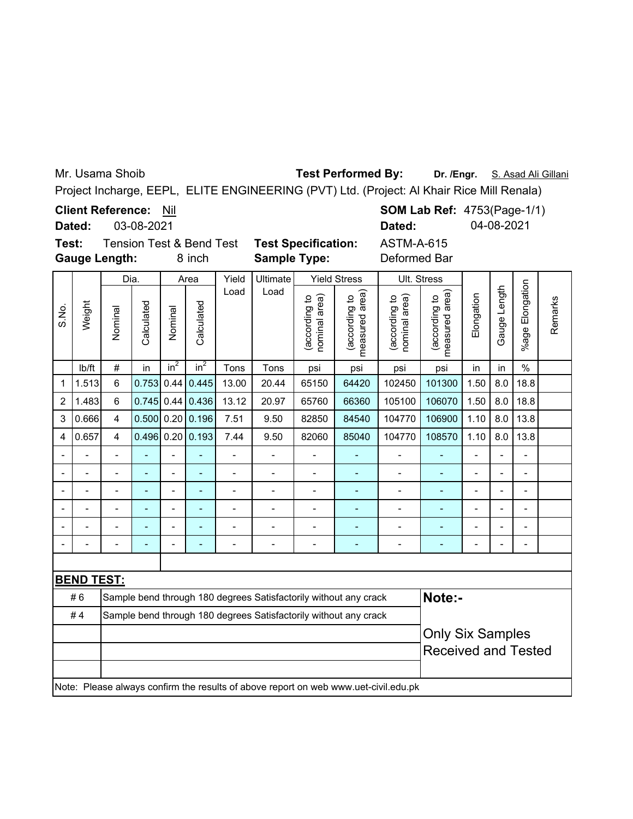Mr. Usama Shoib

**Test Performed By:**

Dr. /Engr. S. Asad Ali Gillani

 $\overline{\phantom{0}}$ 

Project Incharge, EEPL, ELITE ENGINEERING (PVT) Ltd. (Project: Al Khair Rice Mill Renala)

**Client Reference:** Nil

**SOM Lab Ref: 4753(Page-1/1) Dated:** 04-08-2021

ASTM-A-615

03-08-2021 **Dated:**

**Test:** Tension Test & Bend Test **Test Specification: Gauge Length:**

8 inch **Sample Type:** Deformed Bar

|                         |                                                                                     | Dia.                     |                |                | Area         | Yield          | Ultimate       |                               | <b>Yield Stress</b>                                              | Ult. Stress                    |                                    |                          |                          |                          |         |
|-------------------------|-------------------------------------------------------------------------------------|--------------------------|----------------|----------------|--------------|----------------|----------------|-------------------------------|------------------------------------------------------------------|--------------------------------|------------------------------------|--------------------------|--------------------------|--------------------------|---------|
| S.No.                   | Weight                                                                              | Nominal                  | Calculated     | Nominal        | Calculated   | Load           | Load           | according to<br>nominal area) | measured area)<br>(according to                                  | (according to<br>nominal area) | area)<br>(according to<br>measured | Elongation               | Gauge Length             | Elongation<br>$%$ age    | Remarks |
|                         | Ib/ft                                                                               | $\#$                     | in             | $in^2$         | $in^2$       | Tons           | Tons           | psi                           | psi                                                              | psi                            | psi                                | in                       | in                       | $\frac{0}{0}$            |         |
| $\mathbf{1}$            | 1.513                                                                               | $6\phantom{1}$           | 0.753          | 0.44           | 0.445        | 13.00          | 20.44          | 65150                         | 64420                                                            | 102450                         | 101300                             | 1.50                     | 8.0                      | 18.8                     |         |
| $\overline{2}$          | 1.483                                                                               | 6                        | 0.745          | 0.44           | 0.436        | 13.12          | 20.97          | 65760                         | 66360                                                            | 105100                         | 106070                             | 1.50                     | 8.0                      | 18.8                     |         |
| 3                       | 0.666                                                                               | 4                        | 0.500          |                | $0.20$ 0.196 | 7.51           | 9.50           | 82850                         | 84540                                                            | 104770                         | 106900                             | 1.10                     | 8.0                      | 13.8                     |         |
| $\overline{\mathbf{4}}$ | 0.657                                                                               | $\overline{4}$           | 0.496          |                | $0.20$ 0.193 | 7.44           | 9.50           | 82060                         | 85040                                                            | 104770                         | 108570                             | 1.10                     | 8.0                      | 13.8                     |         |
| $\blacksquare$          |                                                                                     | $\overline{\phantom{0}}$ | ÷              | $\overline{a}$ | L,           | $\overline{a}$ | $\overline{a}$ | $\overline{a}$                | ÷,                                                               | $\overline{a}$                 |                                    | $\overline{a}$           | $\overline{a}$           | $\overline{\phantom{0}}$ |         |
|                         |                                                                                     | $\overline{\phantom{0}}$ | ٠              | $\overline{a}$ | L,           | $\overline{a}$ | $\overline{a}$ | $\overline{a}$                | ÷                                                                | $\overline{a}$                 | $\blacksquare$                     | $\overline{\phantom{0}}$ | L,                       | L,                       |         |
|                         |                                                                                     |                          | $\overline{a}$ | $\overline{a}$ | L.           |                |                | $\overline{a}$                |                                                                  | $\blacksquare$                 | $\blacksquare$                     |                          | L                        | $\blacksquare$           |         |
|                         |                                                                                     | $\blacksquare$           |                | $\overline{a}$ | ۳            |                |                |                               |                                                                  |                                |                                    |                          | $\overline{a}$           | $\overline{\phantom{0}}$ |         |
|                         |                                                                                     |                          |                |                |              |                |                |                               |                                                                  |                                |                                    |                          | L.                       | $\overline{a}$           |         |
|                         |                                                                                     | $\blacksquare$           | ä,             | $\blacksquare$ |              |                | $\overline{a}$ | $\blacksquare$                | ÷                                                                | $\blacksquare$                 |                                    |                          | $\overline{\phantom{0}}$ | $\overline{\phantom{0}}$ |         |
|                         |                                                                                     |                          |                |                |              |                |                |                               |                                                                  |                                |                                    |                          |                          |                          |         |
|                         | <b>BEND TEST:</b>                                                                   |                          |                |                |              |                |                |                               |                                                                  |                                |                                    |                          |                          |                          |         |
|                         | #6                                                                                  |                          |                |                |              |                |                |                               | Sample bend through 180 degrees Satisfactorily without any crack |                                | Note:-                             |                          |                          |                          |         |
|                         | #4                                                                                  |                          |                |                |              |                |                |                               | Sample bend through 180 degrees Satisfactorily without any crack |                                |                                    |                          |                          |                          |         |
|                         |                                                                                     |                          |                |                |              |                |                |                               |                                                                  |                                | <b>Only Six Samples</b>            |                          |                          |                          |         |
|                         |                                                                                     |                          |                |                |              |                |                | <b>Received and Tested</b>    |                                                                  |                                |                                    |                          |                          |                          |         |
|                         |                                                                                     |                          |                |                |              |                |                |                               |                                                                  |                                |                                    |                          |                          |                          |         |
|                         | Note: Please always confirm the results of above report on web www.uet-civil.edu.pk |                          |                |                |              |                |                |                               |                                                                  |                                |                                    |                          |                          |                          |         |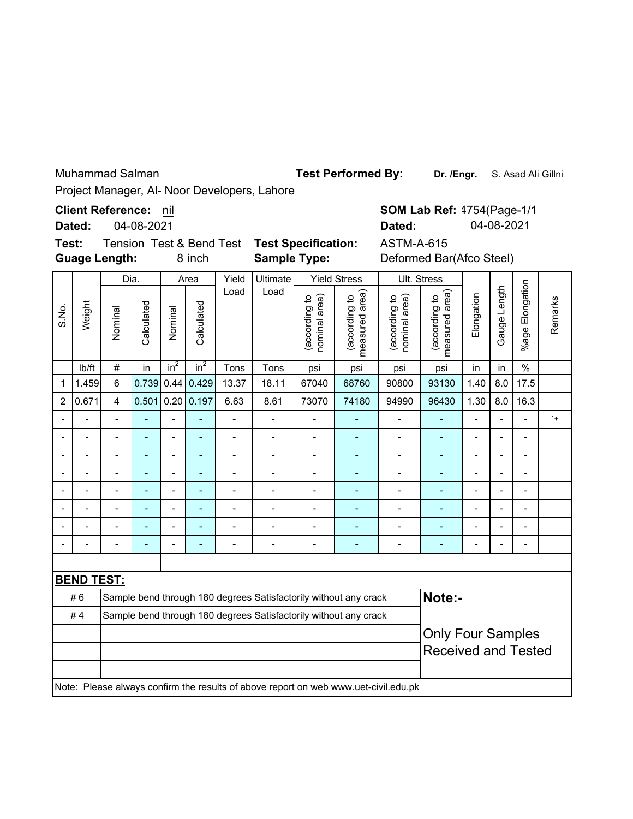Muhammad Salman

**Dr. /Engr.** S. Asad Ali Gillni

Project Manager, Al- Noor Developers, Lahore

**Client Reference:** nil

**Dated:** 04-08-2021

**Guage Length: Test:** Tension Test & Bend Test **Test Specification:** ASTM-A-615

8 inch

**Sample Type:** Deformed Bar(Afco Steel)

**SOM Lab Ref:** 4754(Page-1/1 **Dated:** 04-08-2021

|                |                   | Dia.           |            |                | Area         | Yield                                                                                          | Ultimate                 |                                | <b>Yield Stress</b>                                                                 |                                | Ult. Stress                     |                          |                          |                          |           |  |  |
|----------------|-------------------|----------------|------------|----------------|--------------|------------------------------------------------------------------------------------------------|--------------------------|--------------------------------|-------------------------------------------------------------------------------------|--------------------------------|---------------------------------|--------------------------|--------------------------|--------------------------|-----------|--|--|
| S.No.          | Weight            | Nominal        | Calculated | Nominal        | Calculated   | Load                                                                                           | Load                     | (according to<br>nominal area) | measured area)<br>(according to                                                     | nominal area)<br>(according to | measured area)<br>(according to | Elongation               | Gauge Length             | %age Elongation          | Remarks   |  |  |
|                | Ib/ft             | $\#$           | in         | $in^2$         | $in^2$       | Tons                                                                                           | Tons                     | psi                            | psi                                                                                 | psi                            | psi                             | in                       | in                       | $\%$                     |           |  |  |
| 1              | 1.459             | 6              | 0.739      | 0.44           | 0.429        | 13.37                                                                                          | 18.11                    | 67040                          | 68760                                                                               | 90800                          | 93130                           | 1.40                     | 8.0                      | 17.5                     |           |  |  |
| $\overline{2}$ | 0.671             | $\overline{4}$ | 0.501      |                | 0.20   0.197 | 6.63                                                                                           | 8.61                     | 73070                          | 74180                                                                               | 94990                          | 96430                           | 1.30                     | 8.0                      | 16.3                     |           |  |  |
|                |                   |                |            | L.             |              | $\overline{a}$                                                                                 | $\overline{a}$           |                                |                                                                                     |                                |                                 |                          | $\overline{a}$           | $\overline{a}$           | $\cdot$ + |  |  |
|                |                   |                |            |                |              | $\blacksquare$                                                                                 |                          |                                |                                                                                     | $\blacksquare$                 | ۳                               |                          |                          | $\blacksquare$           |           |  |  |
|                |                   |                |            |                |              |                                                                                                |                          |                                |                                                                                     |                                |                                 |                          | Ĭ.                       |                          |           |  |  |
|                |                   |                | ۰          |                |              | Ĭ.<br>$\blacksquare$<br>$\overline{\phantom{a}}$<br>÷<br>$\overline{a}$<br>$\blacksquare$<br>٠ |                          |                                |                                                                                     |                                |                                 |                          |                          |                          |           |  |  |
|                |                   |                | ÷          | $\blacksquare$ | ۳            |                                                                                                |                          |                                |                                                                                     |                                |                                 | $\blacksquare$           | $\blacksquare$           | ۰                        |           |  |  |
|                |                   |                | -          | $\overline{a}$ |              | $\blacksquare$                                                                                 |                          |                                |                                                                                     |                                | ۰                               | $\overline{a}$           | $\overline{\phantom{a}}$ | $\blacksquare$           |           |  |  |
|                |                   |                | ۷          | $\overline{a}$ |              | $\overline{a}$                                                                                 |                          | $\overline{a}$                 | Ē,                                                                                  |                                |                                 | $\overline{\phantom{0}}$ | $\blacksquare$           | $\overline{\phantom{a}}$ |           |  |  |
|                |                   |                |            | $\overline{a}$ |              | $\overline{a}$                                                                                 | $\overline{\phantom{a}}$ | $\blacksquare$                 | ۳                                                                                   | $\overline{a}$                 |                                 |                          | $\overline{a}$           | $\overline{a}$           |           |  |  |
|                |                   |                |            |                |              |                                                                                                |                          |                                |                                                                                     |                                |                                 |                          |                          |                          |           |  |  |
|                | <b>BEND TEST:</b> |                |            |                |              |                                                                                                |                          |                                |                                                                                     |                                |                                 |                          |                          |                          |           |  |  |
|                | #6                |                |            |                |              |                                                                                                |                          |                                | Sample bend through 180 degrees Satisfactorily without any crack                    |                                | Note:-                          |                          |                          |                          |           |  |  |
|                | #4                |                |            |                |              |                                                                                                |                          |                                | Sample bend through 180 degrees Satisfactorily without any crack                    |                                |                                 |                          |                          |                          |           |  |  |
|                |                   |                |            |                |              |                                                                                                |                          |                                |                                                                                     |                                | <b>Only Four Samples</b>        |                          |                          |                          |           |  |  |
|                |                   |                |            |                |              |                                                                                                |                          | <b>Received and Tested</b>     |                                                                                     |                                |                                 |                          |                          |                          |           |  |  |
|                |                   |                |            |                |              |                                                                                                |                          |                                |                                                                                     |                                |                                 |                          |                          |                          |           |  |  |
|                |                   |                |            |                |              |                                                                                                |                          |                                | Note: Please always confirm the results of above report on web www.uet-civil.edu.pk |                                |                                 |                          |                          |                          |           |  |  |

**Test Performed By:**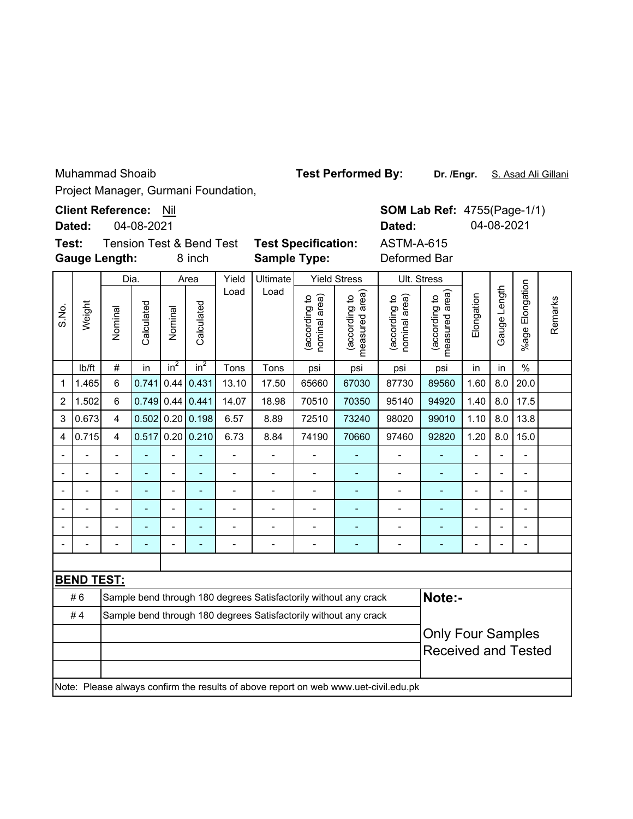Muhammad Shoaib

**Test Performed By:**

**Dr. /Engr.** S. Asad Ali Gillani

Project Manager, Gurmani Foundation,

**Gauge Length: Dated: Client Reference: Nil** 04-08-2021 **Test:** Tension Test & Bend Test **Test Specification:** ASTM-A-615

**SOM Lab Ref: 4755(Page-1/1) Dated:** 04-08-2021

|       |                   | <b>Gauge Length:</b>     |            |                | 8 inch                   |                | Deformed Bar             |                                                                  |                                                                                     |                                |                                    |                          |                |                 |         |
|-------|-------------------|--------------------------|------------|----------------|--------------------------|----------------|--------------------------|------------------------------------------------------------------|-------------------------------------------------------------------------------------|--------------------------------|------------------------------------|--------------------------|----------------|-----------------|---------|
|       |                   | Dia.                     |            |                | Area                     | Yield          | <b>Ultimate</b>          |                                                                  | <b>Yield Stress</b>                                                                 |                                | Ult. Stress                        |                          |                |                 |         |
| S.No. | Weight            | Nominal                  | Calculated | Nominal        | Calculated               | Load           | Load                     | (according to<br>nominal area)                                   | measured area)<br>(according to                                                     | (according to<br>nominal area) | area)<br>(according to<br>measured | Elongation               | Gauge Length   | %age Elongation | Remarks |
|       | Ib/ft             | $\#$                     | in         | $in^2$         | $in^2$                   | Tons           | Tons                     | psi                                                              | psi                                                                                 | psi                            | psi                                | in                       | in             | $\frac{0}{0}$   |         |
| 1     | 1.465             | 6                        | 0.741      | 0.44           | 0.431                    | 13.10          | 17.50                    | 65660                                                            | 67030                                                                               | 87730                          | 89560                              | 1.60                     | 8.0            | 20.0            |         |
| 2     | 1.502             | 6                        | 0.749      |                | $0.44 \, 0.441$          | 14.07          | 18.98                    | 70510                                                            | 70350                                                                               | 95140                          | 94920                              | 1.40                     | 8.0            | 17.5            |         |
| 3     | 0.673             | $\overline{\mathbf{4}}$  | 0.502      | 0.20           | 0.198                    | 6.57           | 8.89                     | 72510                                                            | 73240                                                                               | 98020                          | 99010                              | 1.10                     | 8.0            | 13.8            |         |
| 4     | 0.715             | $\overline{\mathbf{4}}$  | 0.517      | 0.20           | 0.210                    | 6.73           | 8.84                     | 74190                                                            | 70660                                                                               | 97460                          | 92820                              | 1.20                     | 8.0            | 15.0            |         |
|       |                   | $\overline{a}$           | L,         | $\overline{a}$ | L,                       | $\overline{a}$ | $\overline{a}$           | $\overline{a}$                                                   | ÷,                                                                                  | $\overline{\phantom{0}}$       | ÷,                                 | $\overline{a}$           | L,             | $\overline{a}$  |         |
|       |                   | $\overline{a}$           | L,         | $\overline{a}$ | $\overline{\phantom{a}}$ | $\overline{a}$ | $\overline{a}$           | $\overline{a}$                                                   | ÷,                                                                                  | $\overline{\phantom{0}}$       | Ξ.                                 | $\overline{a}$           |                | $\blacksquare$  |         |
|       |                   | $\overline{\phantom{0}}$ | ÷          | $\overline{a}$ | $\overline{\phantom{a}}$ | $\overline{a}$ | $\overline{a}$           | Ĭ.                                                               | $\blacksquare$                                                                      | $\overline{\phantom{0}}$       | ٠                                  | $\overline{a}$           | $\overline{a}$ | $\blacksquare$  |         |
|       |                   | $\blacksquare$           | ÷          | $\overline{a}$ | $\overline{\phantom{a}}$ | $\overline{a}$ | $\overline{a}$           | Ĭ.                                                               | $\blacksquare$                                                                      | $\blacksquare$                 | ٠                                  | $\blacksquare$           |                | $\blacksquare$  |         |
|       |                   |                          |            | $\overline{a}$ | $\overline{\phantom{a}}$ | $\overline{a}$ | $\overline{a}$           |                                                                  | $\blacksquare$                                                                      |                                |                                    |                          |                | $\overline{a}$  |         |
|       |                   | $\overline{\phantom{0}}$ | ÷          | $\blacksquare$ | ÷                        | Ē,             | $\overline{\phantom{0}}$ | Ĭ.                                                               | $\overline{\phantom{a}}$                                                            | $\blacksquare$                 | ÷                                  | $\overline{\phantom{0}}$ |                | $\overline{a}$  |         |
|       |                   |                          |            |                |                          |                |                          |                                                                  |                                                                                     |                                |                                    |                          |                |                 |         |
|       | <b>BEND TEST:</b> |                          |            |                |                          |                |                          |                                                                  |                                                                                     |                                |                                    |                          |                |                 |         |
|       | #6                |                          |            |                |                          |                |                          |                                                                  | Sample bend through 180 degrees Satisfactorily without any crack                    |                                | Note:-                             |                          |                |                 |         |
|       | #4                |                          |            |                |                          |                |                          | Sample bend through 180 degrees Satisfactorily without any crack |                                                                                     |                                |                                    |                          |                |                 |         |
|       |                   |                          |            |                |                          |                |                          |                                                                  |                                                                                     | <b>Only Four Samples</b>       |                                    |                          |                |                 |         |
|       |                   |                          |            |                |                          |                |                          |                                                                  |                                                                                     | <b>Received and Tested</b>     |                                    |                          |                |                 |         |
|       |                   |                          |            |                |                          |                |                          |                                                                  | Note: Please always confirm the results of above report on web www.uet-civil.edu.pk |                                |                                    |                          |                |                 |         |